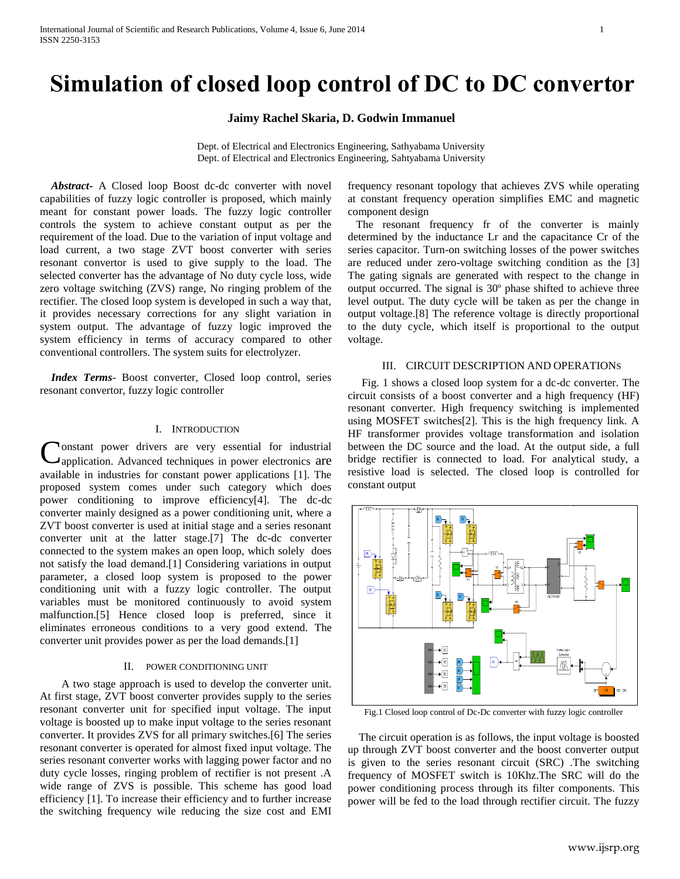# **Simulation of closed loop control of DC to DC convertor**

## **Jaimy Rachel Skaria, D. Godwin Immanuel**

Dept. of Electrical and Electronics Engineering, Sathyabama University Dept. of Electrical and Electronics Engineering, Sahtyabama University

 *Abstract***-** A Closed loop Boost dc-dc converter with novel capabilities of fuzzy logic controller is proposed, which mainly meant for constant power loads. The fuzzy logic controller controls the system to achieve constant output as per the requirement of the load. Due to the variation of input voltage and load current, a two stage ZVT boost converter with series resonant convertor is used to give supply to the load. The selected converter has the advantage of No duty cycle loss, wide zero voltage switching (ZVS) range, No ringing problem of the rectifier. The closed loop system is developed in such a way that, it provides necessary corrections for any slight variation in system output. The advantage of fuzzy logic improved the system efficiency in terms of accuracy compared to other conventional controllers. The system suits for electrolyzer.

 *Index Terms*- Boost converter, Closed loop control, series resonant convertor, fuzzy logic controller

### I. INTRODUCTION

onstant power drivers are very essential for industrial Constant power drivers are very essential for industrial capplication. Advanced techniques in power electronics are available in industries for constant power applications [1]. The proposed system comes under such category which does power conditioning to improve efficiency[4]. The dc-dc converter mainly designed as a power conditioning unit, where a ZVT boost converter is used at initial stage and a series resonant converter unit at the latter stage.[7] The dc-dc converter connected to the system makes an open loop, which solely does not satisfy the load demand.[1] Considering variations in output parameter, a closed loop system is proposed to the power conditioning unit with a fuzzy logic controller. The output variables must be monitored continuously to avoid system malfunction.[5] Hence closed loop is preferred, since it eliminates erroneous conditions to a very good extend. The converter unit provides power as per the load demands.[1]

#### II. POWER CONDITIONING UNIT

 A two stage approach is used to develop the converter unit. At first stage, ZVT boost converter provides supply to the series resonant converter unit for specified input voltage. The input voltage is boosted up to make input voltage to the series resonant converter. It provides ZVS for all primary switches.[6] The series resonant converter is operated for almost fixed input voltage. The series resonant converter works with lagging power factor and no duty cycle losses, ringing problem of rectifier is not present .A wide range of ZVS is possible. This scheme has good load efficiency [1]. To increase their efficiency and to further increase the switching frequency wile reducing the size cost and EMI frequency resonant topology that achieves ZVS while operating at constant frequency operation simplifies EMC and magnetic component design

 The resonant frequency fr of the converter is mainly determined by the inductance Lr and the capacitance Cr of the series capacitor. Turn-on switching losses of the power switches are reduced under zero-voltage switching condition as the [3] The gating signals are generated with respect to the change in output occurred. The signal is 30º phase shifted to achieve three level output. The duty cycle will be taken as per the change in output voltage.[8] The reference voltage is directly proportional to the duty cycle, which itself is proportional to the output voltage.

#### III. CIRCUIT DESCRIPTION AND OPERATIONS

 Fig. 1 shows a closed loop system for a dc-dc converter. The circuit consists of a boost converter and a high frequency (HF) resonant converter. High frequency switching is implemented using MOSFET switches[2]. This is the high frequency link. A HF transformer provides voltage transformation and isolation between the DC source and the load. At the output side, a full bridge rectifier is connected to load. For analytical study, a resistive load is selected. The closed loop is controlled for constant output



Fig.1 Closed loop control of Dc-Dc converter with fuzzy logic controller

 The circuit operation is as follows, the input voltage is boosted up through ZVT boost converter and the boost converter output is given to the series resonant circuit (SRC) .The switching frequency of MOSFET switch is 10Khz.The SRC will do the power conditioning process through its filter components. This power will be fed to the load through rectifier circuit. The fuzzy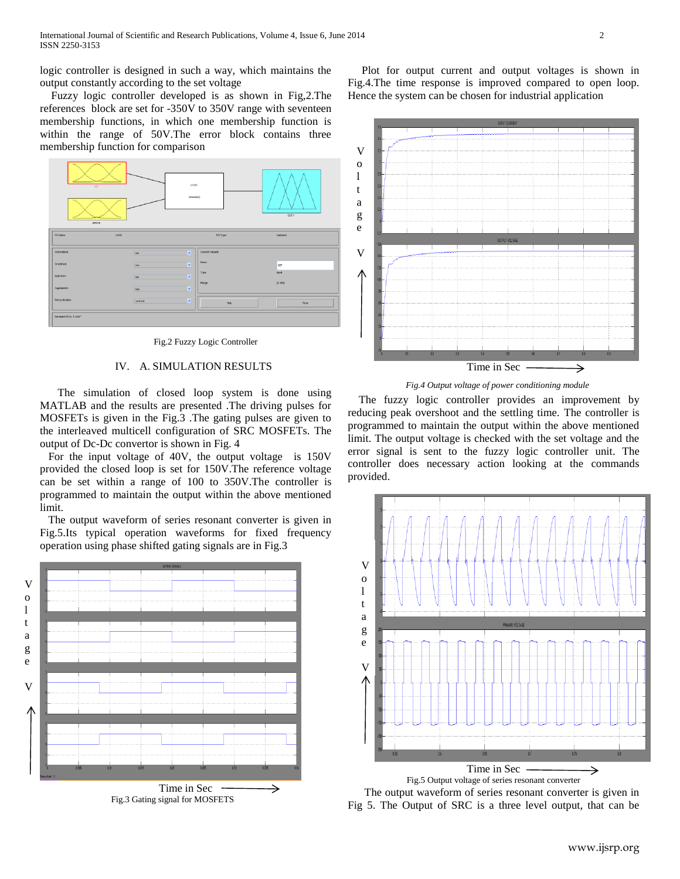logic controller is designed in such a way, which maintains the output constantly according to the set voltage

 Fuzzy logic controller developed is as shown in Fig,2.The references block are set for -350V to 350V range with seventeen membership functions, in which one membership function is within the range of 50V.The error block contains three membership function for comparison



Fig.2 Fuzzy Logic Controller

# IV. A. SIMULATION RESULTS

 The simulation of closed loop system is done using MATLAB and the results are presented .The driving pulses for MOSFETs is given in the Fig.3 .The gating pulses are given to the interleaved multicell configuration of SRC MOSFETs. The output of Dc-Dc convertor is shown in Fig. 4

 For the input voltage of 40V, the output voltage is 150V provided the closed loop is set for 150V.The reference voltage can be set within a range of 100 to 350V.The controller is programmed to maintain the output within the above mentioned limit.

 The output waveform of series resonant converter is given in Fig.5.Its typical operation waveforms for fixed frequency operation using phase shifted gating signals are in Fig.3



 Plot for output current and output voltages is shown in Fig.4.The time response is improved compared to open loop. Hence the system can be chosen for industrial application



*Fig.4 Output voltage of power conditioning module*

 The fuzzy logic controller provides an improvement by reducing peak overshoot and the settling time. The controller is programmed to maintain the output within the above mentioned limit. The output voltage is checked with the set voltage and the error signal is sent to the fuzzy logic controller unit. The controller does necessary action looking at the commands provided.